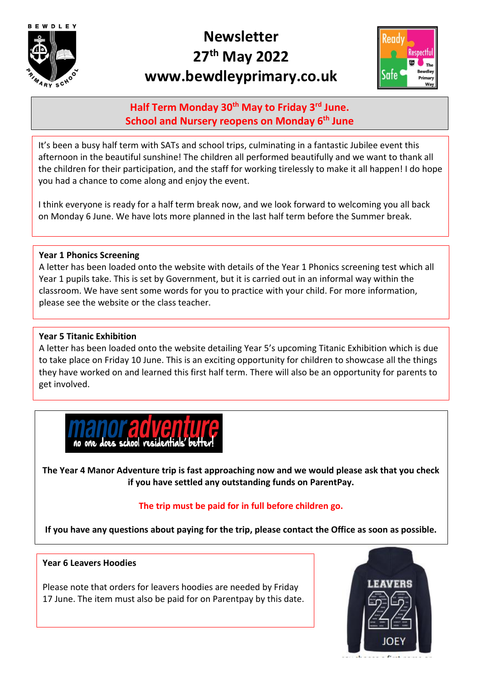

# **Newsletter 27th May 2022 www.bewdleyprimary.co.uk**



# **Half Term Monday 30th May to Friday 3rd June. School and Nursery reopens on Monday 6th June**

It's been a busy half term with SATs and school trips, culminating in a fantastic Jubilee event this afternoon in the beautiful sunshine! The children all performed beautifully and we want to thank all the children for their participation, and the staff for working tirelessly to make it all happen! I do hope you had a chance to come along and enjoy the event.

I think everyone is ready for a half term break now, and we look forward to welcoming you all back on Monday 6 June. We have lots more planned in the last half term before the Summer break.

# **Year 1 Phonics Screening**

A letter has been loaded onto the website with details of the Year 1 Phonics screening test which all Year 1 pupils take. This is set by Government, but it is carried out in an informal way within the classroom. We have sent some words for you to practice with your child. For more information, please see the website or the class teacher.

# **Year 5 Titanic Exhibition**

A letter has been loaded onto the website detailing Year 5's upcoming Titanic Exhibition which is due to take place on Friday 10 June. This is an exciting opportunity for children to showcase all the things they have worked on and learned this first half term. There will also be an opportunity for parents to get involved.



**The Year 4 Manor Adventure trip is fast approaching now and we would please ask that you check if you have settled any outstanding funds on ParentPay.** 

# **The trip must be paid for in full before children go.**

**If you have any questions about paying for the trip, please contact the Office as soon as possible.** 

## **Year 6 Leavers Hoodies**

Please note that orders for leavers hoodies are needed by Friday 17 June. The item must also be paid for on Parentpay by this date.